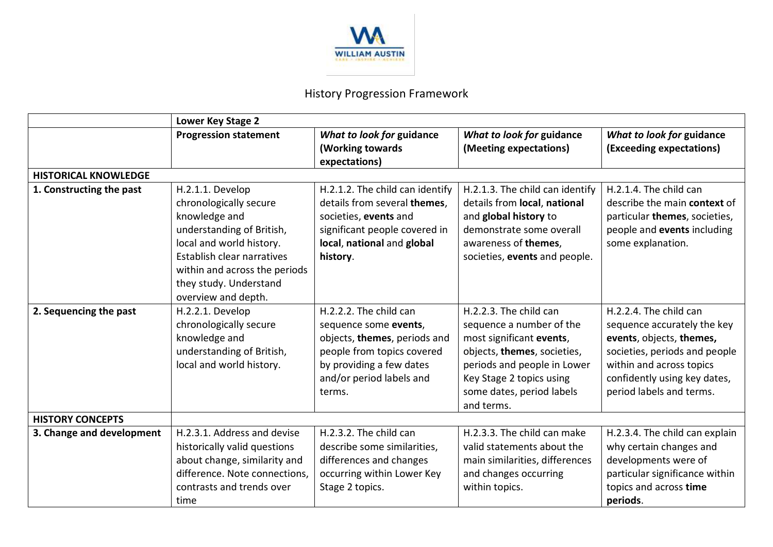

## History Progression Framework

|                             | Lower Key Stage 2                                                                                                                                                                                                                    |                                                                                                                                                                                 |                                                                                                                                                                                                                     |                                                                                                                                                                                                            |  |  |  |
|-----------------------------|--------------------------------------------------------------------------------------------------------------------------------------------------------------------------------------------------------------------------------------|---------------------------------------------------------------------------------------------------------------------------------------------------------------------------------|---------------------------------------------------------------------------------------------------------------------------------------------------------------------------------------------------------------------|------------------------------------------------------------------------------------------------------------------------------------------------------------------------------------------------------------|--|--|--|
|                             | <b>Progression statement</b>                                                                                                                                                                                                         | What to look for guidance<br>(Working towards<br>expectations)                                                                                                                  | What to look for guidance<br>(Meeting expectations)                                                                                                                                                                 | What to look for guidance<br>(Exceeding expectations)                                                                                                                                                      |  |  |  |
| <b>HISTORICAL KNOWLEDGE</b> |                                                                                                                                                                                                                                      |                                                                                                                                                                                 |                                                                                                                                                                                                                     |                                                                                                                                                                                                            |  |  |  |
| 1. Constructing the past    | H.2.1.1. Develop<br>chronologically secure<br>knowledge and<br>understanding of British,<br>local and world history.<br>Establish clear narratives<br>within and across the periods<br>they study. Understand<br>overview and depth. | H.2.1.2. The child can identify<br>details from several themes,<br>societies, events and<br>significant people covered in<br>local, national and global<br>history.             | H.2.1.3. The child can identify<br>details from local, national<br>and global history to<br>demonstrate some overall<br>awareness of themes,<br>societies, events and people.                                       | H.2.1.4. The child can<br>describe the main context of<br>particular themes, societies,<br>people and events including<br>some explanation.                                                                |  |  |  |
| 2. Sequencing the past      | H.2.2.1. Develop<br>chronologically secure<br>knowledge and<br>understanding of British,<br>local and world history.                                                                                                                 | H.2.2.2. The child can<br>sequence some events,<br>objects, themes, periods and<br>people from topics covered<br>by providing a few dates<br>and/or period labels and<br>terms. | H.2.2.3. The child can<br>sequence a number of the<br>most significant events,<br>objects, themes, societies,<br>periods and people in Lower<br>Key Stage 2 topics using<br>some dates, period labels<br>and terms. | H.2.2.4. The child can<br>sequence accurately the key<br>events, objects, themes,<br>societies, periods and people<br>within and across topics<br>confidently using key dates,<br>period labels and terms. |  |  |  |
| <b>HISTORY CONCEPTS</b>     |                                                                                                                                                                                                                                      |                                                                                                                                                                                 |                                                                                                                                                                                                                     |                                                                                                                                                                                                            |  |  |  |
| 3. Change and development   | H.2.3.1. Address and devise<br>historically valid questions<br>about change, similarity and<br>difference. Note connections,<br>contrasts and trends over<br>time                                                                    | H.2.3.2. The child can<br>describe some similarities,<br>differences and changes<br>occurring within Lower Key<br>Stage 2 topics.                                               | H.2.3.3. The child can make<br>valid statements about the<br>main similarities, differences<br>and changes occurring<br>within topics.                                                                              | H.2.3.4. The child can explain<br>why certain changes and<br>developments were of<br>particular significance within<br>topics and across time<br>periods.                                                  |  |  |  |